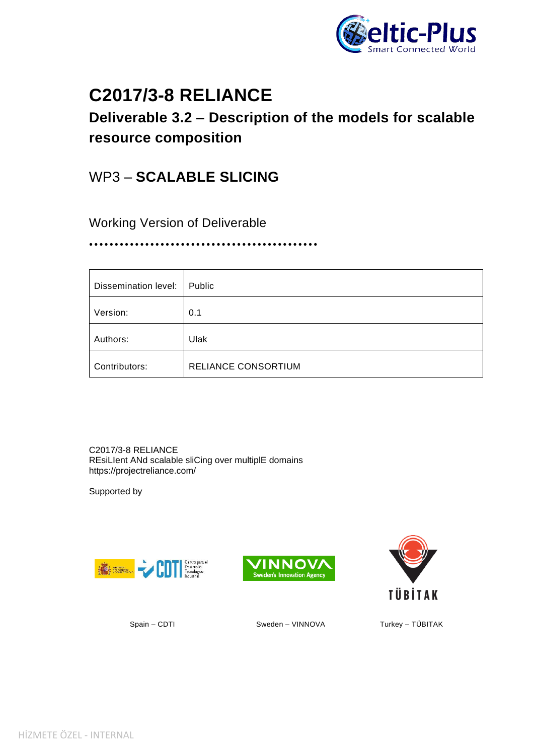

# **C2017/3-8 RELIANCE**

## **Deliverable 3.2 – Description of the models for scalable resource composition**

## WP3 – **SCALABLE SLICING**

Working Version of Deliverable

•••••••••••••••••••••••••••••••••••••••••••••

| <b>Dissemination level:</b> | Public              |
|-----------------------------|---------------------|
| Version:                    | 0.1                 |
| Authors:                    | Ulak                |
| Contributors:               | RELIANCE CONSORTIUM |

C2017/3-8 RELIANCE REsiLIent ANd scalable sliCing over multiplE domains https://projectreliance.com/

Supported by







Spain – CDTI Sweden – VINNOVA Turkey – TÜBITAK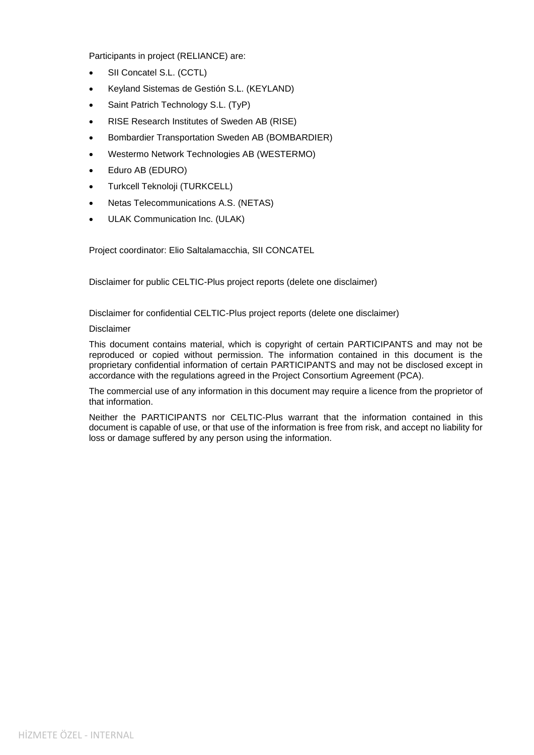Participants in project (RELIANCE) are:

- SII Concatel S.L. (CCTL)
- Keyland Sistemas de Gestión S.L. (KEYLAND)
- Saint Patrich Technology S.L. (TyP)
- RISE Research Institutes of Sweden AB (RISE)
- Bombardier Transportation Sweden AB (BOMBARDIER)
- Westermo Network Technologies AB (WESTERMO)
- Eduro AB (EDURO)
- Turkcell Teknoloji (TURKCELL)
- Netas Telecommunications A.S. (NETAS)
- ULAK Communication Inc. (ULAK)

Project coordinator: Elio Saltalamacchia, SII CONCATEL

Disclaimer for public CELTIC-Plus project reports (delete one disclaimer)

Disclaimer for confidential CELTIC-Plus project reports (delete one disclaimer)

#### Disclaimer

This document contains material, which is copyright of certain PARTICIPANTS and may not be reproduced or copied without permission. The information contained in this document is the proprietary confidential information of certain PARTICIPANTS and may not be disclosed except in accordance with the regulations agreed in the Project Consortium Agreement (PCA).

The commercial use of any information in this document may require a licence from the proprietor of that information.

Neither the PARTICIPANTS nor CELTIC-Plus warrant that the information contained in this document is capable of use, or that use of the information is free from risk, and accept no liability for loss or damage suffered by any person using the information.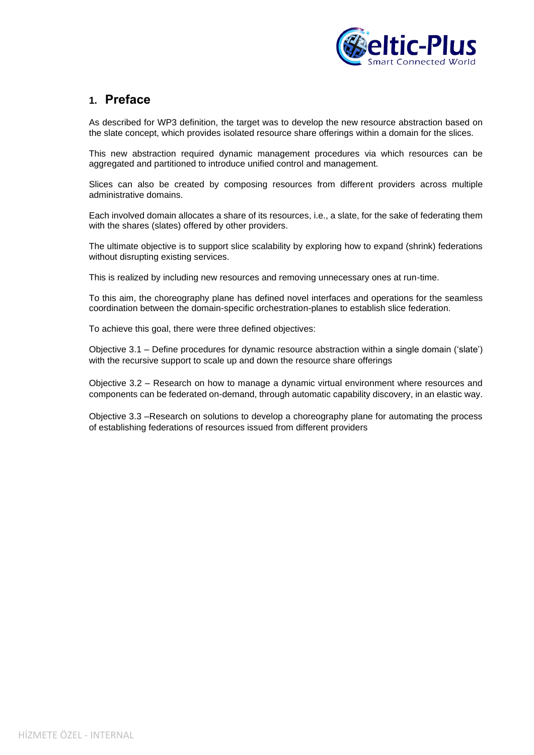

### <span id="page-2-0"></span>**1. Preface**

As described for WP3 definition, the target was to develop the new resource abstraction based on the slate concept, which provides isolated resource share offerings within a domain for the slices.

This new abstraction required dynamic management procedures via which resources can be aggregated and partitioned to introduce unified control and management.

Slices can also be created by composing resources from different providers across multiple administrative domains.

Each involved domain allocates a share of its resources, i.e., a slate, for the sake of federating them with the shares (slates) offered by other providers.

The ultimate objective is to support slice scalability by exploring how to expand (shrink) federations without disrupting existing services.

This is realized by including new resources and removing unnecessary ones at run-time.

To this aim, the choreography plane has defined novel interfaces and operations for the seamless coordination between the domain-specific orchestration-planes to establish slice federation.

To achieve this goal, there were three defined objectives:

Objective 3.1 – Define procedures for dynamic resource abstraction within a single domain ('slate') with the recursive support to scale up and down the resource share offerings

Objective 3.2 – Research on how to manage a dynamic virtual environment where resources and components can be federated on-demand, through automatic capability discovery, in an elastic way.

Objective 3.3 –Research on solutions to develop a choreography plane for automating the process of establishing federations of resources issued from different providers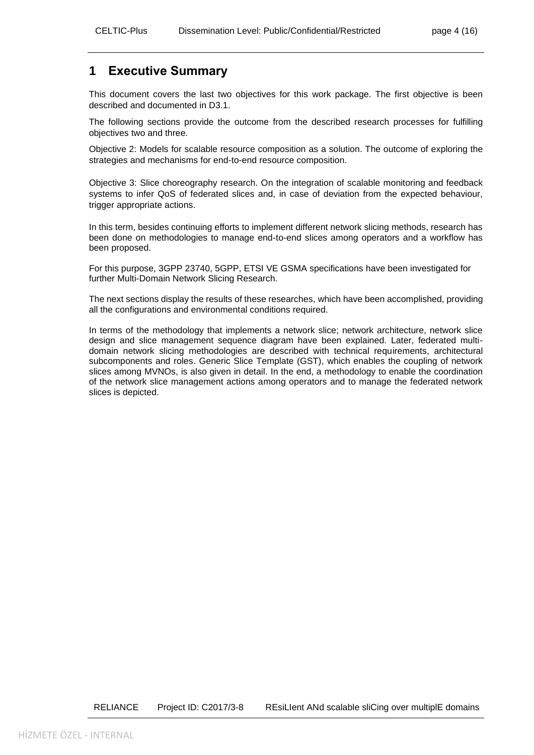### <span id="page-3-0"></span>**1 Executive Summary**

This document covers the last two objectives for this work package. The first objective is been described and documented in D3.1.

The following sections provide the outcome from the described research processes for fulfilling objectives two and three.

Objective 2: Models for scalable resource composition as a solution. The outcome of exploring the strategies and mechanisms for end-to-end resource composition.

Objective 3: Slice choreography research. On the integration of scalable monitoring and feedback systems to infer QoS of federated slices and, in case of deviation from the expected behaviour, trigger appropriate actions.

In this term, besides continuing efforts to implement different network slicing methods, research has been done on methodologies to manage end-to-end slices among operators and a workflow has been proposed.

For this purpose, 3GPP 23740, 5GPP, ETSI VE GSMA specifications have been investigated for further Multi-Domain Network Slicing Research.

The next sections display the results of these researches, which have been accomplished, providing all the configurations and environmental conditions required.

In terms of the methodology that implements a network slice; network architecture, network slice design and slice management sequence diagram have been explained. Later, federated multidomain network slicing methodologies are described with technical requirements, architectural subcomponents and roles. Generic Slice Template (GST), which enables the coupling of network slices among MVNOs, is also given in detail. In the end, a methodology to enable the coordination of the network slice management actions among operators and to manage the federated network slices is depicted.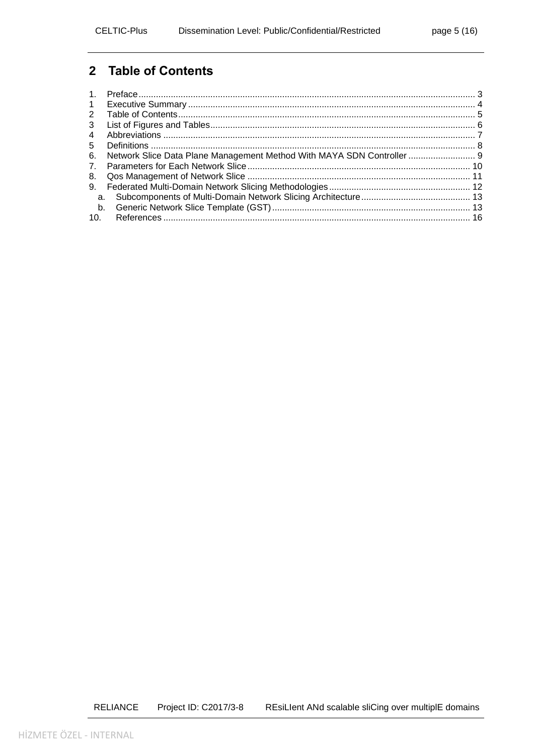#### <span id="page-4-0"></span>**Table of Contents**  $\overline{2}$

| $\mathbf{1}$ |                                                                        |  |
|--------------|------------------------------------------------------------------------|--|
| 2            |                                                                        |  |
| 3            |                                                                        |  |
| 4            |                                                                        |  |
| 5            |                                                                        |  |
| 6.           | Network Slice Data Plane Management Method With MAYA SDN Controller  9 |  |
|              |                                                                        |  |
| 8.           |                                                                        |  |
| 9.           |                                                                        |  |
| а.           |                                                                        |  |
| b.           |                                                                        |  |
| 10.          |                                                                        |  |

REsiLlent ANd scalable sliCing over multiplE domains RELIANCE Project ID: C2017/3-8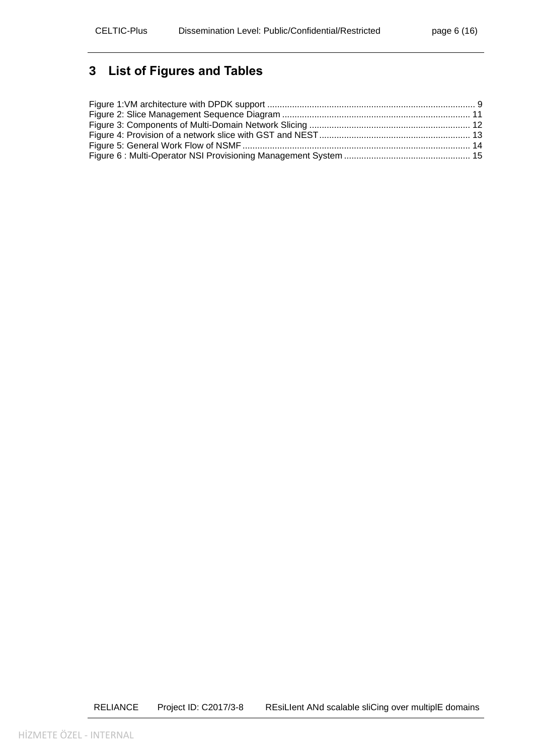## <span id="page-5-0"></span>**3 List of Figures and Tables**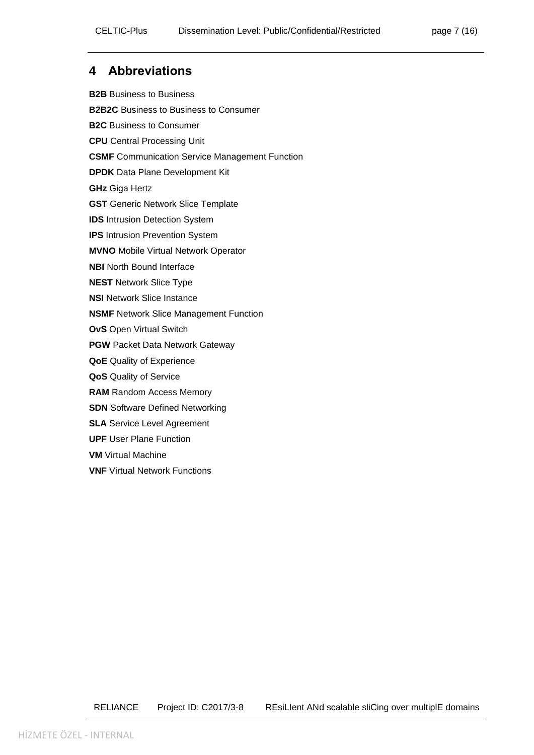### <span id="page-6-0"></span>**4 Abbreviations**

**B2B** Business to Business **B2B2C** Business to Business to Consumer **B2C** Business to Consumer **CPU** Central Processing Unit **CSMF** Communication Service Management Function **DPDK** Data Plane Development Kit **GHz** Giga Hertz **GST** Generic Network Slice Template **IDS** Intrusion Detection System **IPS** Intrusion Prevention System **MVNO** Mobile Virtual Network Operator **NBI** North Bound Interface **NEST** Network Slice Type **NSI** Network Slice Instance **NSMF** Network Slice Management Function **OvS** Open Virtual Switch **PGW** Packet Data Network Gateway **QoE** Quality of Experience **QoS** Quality of Service **RAM** Random Access Memory **SDN** Software Defined Networking **SLA** Service Level Agreement **UPF** User Plane Function **VM** Virtual Machine **VNF** Virtual Network Functions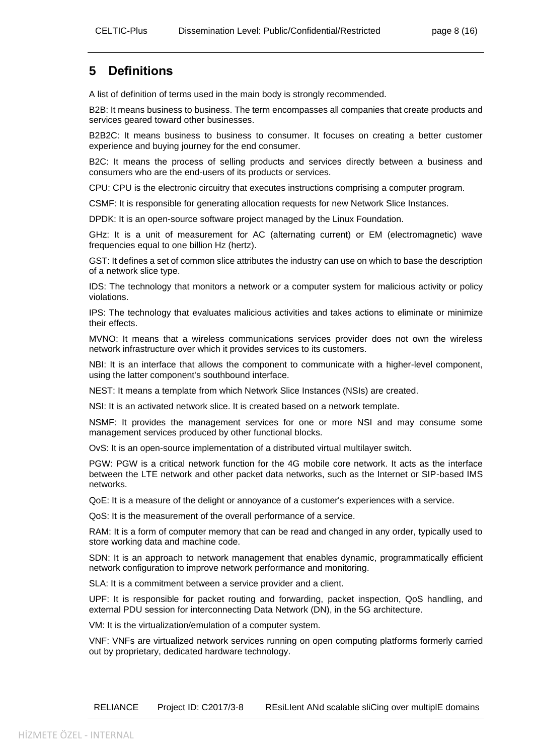### <span id="page-7-0"></span>**5 Definitions**

A list of definition of terms used in the main body is strongly recommended.

B2B: It means business to business. The term encompasses all companies that create products and services geared toward other businesses.

B2B2C: It means business to business to consumer. It focuses on creating a better customer experience and buying journey for the end consumer.

B2C: It means the process of selling products and services directly between a business and consumers who are the end-users of its products or services.

CPU: CPU is the electronic circuitry that executes instructions comprising a computer program.

CSMF: It is responsible for generating allocation requests for new Network Slice Instances.

DPDK: It is an open-source software project managed by the Linux Foundation.

GHz: It is a unit of measurement for AC (alternating current) or EM (electromagnetic) wave frequencies equal to one billion Hz (hertz).

GST: It defines a set of common slice attributes the industry can use on which to base the description of a network slice type.

IDS: The technology that monitors a network or a computer system for malicious activity or policy violations.

IPS: The technology that evaluates malicious activities and takes actions to eliminate or minimize their effects.

MVNO: It means that a wireless communications services provider does not own the wireless network infrastructure over which it provides services to its customers.

NBI: It is an interface that allows the component to communicate with a higher-level component, using the latter component's southbound interface.

NEST: It means a template from which Network Slice Instances (NSIs) are created.

NSI: It is an activated network slice. It is created based on a network template.

NSMF: It provides the management services for one or more NSI and may consume some management services produced by other functional blocks.

OvS: It is an open-source implementation of a distributed virtual multilayer switch.

PGW: PGW is a critical network function for the 4G mobile core network. It acts as the interface between the LTE network and other packet data networks, such as the Internet or SIP-based IMS networks.

QoE: It is a measure of the delight or annoyance of a customer's experiences with a service.

QoS: It is the measurement of the overall performance of a service.

RAM: It is a form of computer memory that can be read and changed in any order, typically used to store working data and machine code.

SDN: It is an approach to network management that enables dynamic, programmatically efficient network configuration to improve network performance and monitoring.

SLA: It is a commitment between a service provider and a client.

UPF: It is responsible for packet routing and forwarding, packet inspection, QoS handling, and external PDU session for interconnecting Data Network (DN), in the 5G architecture.

VM: It is the virtualization/emulation of a computer system.

VNF: VNFs are virtualized network services running on open computing platforms formerly carried out by proprietary, dedicated hardware technology.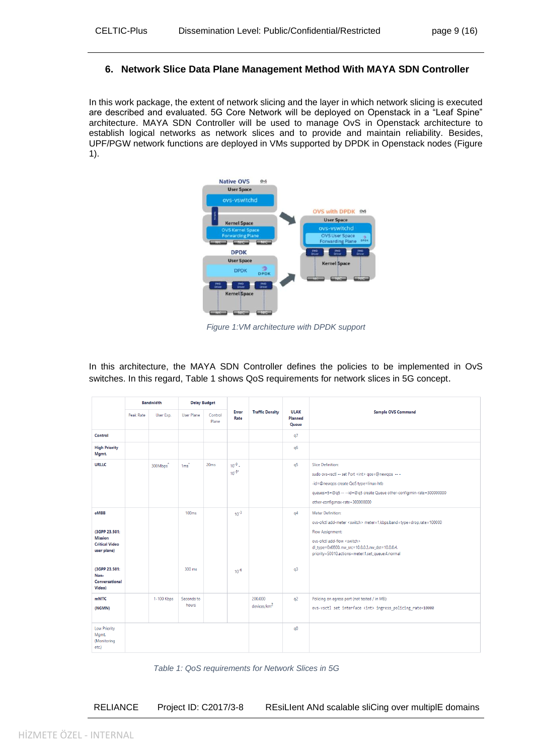### <span id="page-8-0"></span>**6. Network Slice Data Plane Management Method With MAYA SDN Controller**

In this work package, the extent of network slicing and the layer in which network slicing is executed are described and evaluated. 5G Core Network will be deployed on Openstack in a "Leaf Spine" architecture. MAYA SDN Controller will be used to manage OvS in Openstack architecture to establish logical networks as network slices and to provide and maintain reliability. Besides, UPF/PGW network functions are deployed in VMs supported by DPDK in Openstack nodes (Figure 1).



*Figure 1:VM architecture with DPDK support*

<span id="page-8-1"></span>In this architecture, the MAYA SDN Controller defines the policies to be implemented in OvS switches. In this regard, Table 1 shows QoS requirements for network slices in 5G concept.

|                                                                                                                                      |           | <b>Bandwidth</b>     |                        | <b>Delay Budget</b> |                           |                                    |                                        |                                                                                                                                                                                                                                                                                    |
|--------------------------------------------------------------------------------------------------------------------------------------|-----------|----------------------|------------------------|---------------------|---------------------------|------------------------------------|----------------------------------------|------------------------------------------------------------------------------------------------------------------------------------------------------------------------------------------------------------------------------------------------------------------------------------|
|                                                                                                                                      | Peak Rate | User Exp.            | User Plane             | Control<br>Plane    | Error<br>Rate             | <b>Traffic Density</b>             | <b>ULAK</b><br><b>Planned</b><br>Queue | <b>Sample OVS Command</b>                                                                                                                                                                                                                                                          |
| Control                                                                                                                              |           |                      |                        |                     |                           |                                    | q7                                     |                                                                                                                                                                                                                                                                                    |
| <b>High Priority</b><br>Mgmt.                                                                                                        |           |                      |                        |                     |                           |                                    | q <sub>6</sub>                         |                                                                                                                                                                                                                                                                                    |
| <b>URLLC</b>                                                                                                                         |           | 300Mbps <sup>*</sup> | $1ms^*$                | 20ms                | $10^{-9}$ –<br>$10^{-5*}$ |                                    | q5                                     | <b>Slice Definition:</b><br>sudo ovs-vsctl -- set Port <int> gos=@newgos -- -<br/>-id=@newqos create QoS type=linux-htb<br/>queues=5=@q5 -- --id=@q5 create Queue other-config:min-rate=300000000<br/>other-config:max-rate=300000000</int>                                        |
| eMBB<br>(3GPP 23.501:<br><b>Mission</b><br><b>Critical Video</b><br>user plane)<br>(3GPP 23.501:<br>Non-<br>Conversational<br>Video) |           |                      | <b>100ms</b><br>300 ms |                     | $10^{-3}$<br>$10^{-6}$    |                                    | q4<br>q <sub>3</sub>                   | Meter Definition:<br>ovs-ofctl add-meter <switch> meter=1,kbps,band=type=drop,rate=100000<br/><b>Flow Assignment:</b><br/>ovs-ofctl add-flow <switch><br/>dl_type=0x0800, nw_src=10.0.0.3,nw_dst=10.0.0.4,<br/>priority=50010,actions=meter:1,set_queue:4,normal</switch></switch> |
| <b>mMTC</b><br>(NGMN)                                                                                                                |           | 1-100 Kbps           | Seconds to<br>hours    |                     |                           | 200,000<br>devices/km <sup>2</sup> | q2                                     | Policing on egress port (not tested / in MB):<br>ovs-vsctl set interface <int> ingress_policing_rate=10000</int>                                                                                                                                                                   |
| <b>Low Priority</b><br>Mgmt.<br>(Monitoring<br>etc.)                                                                                 |           |                      |                        |                     |                           |                                    | q <sub>0</sub>                         |                                                                                                                                                                                                                                                                                    |

*Table 1: QoS requirements for Network Slices in 5G*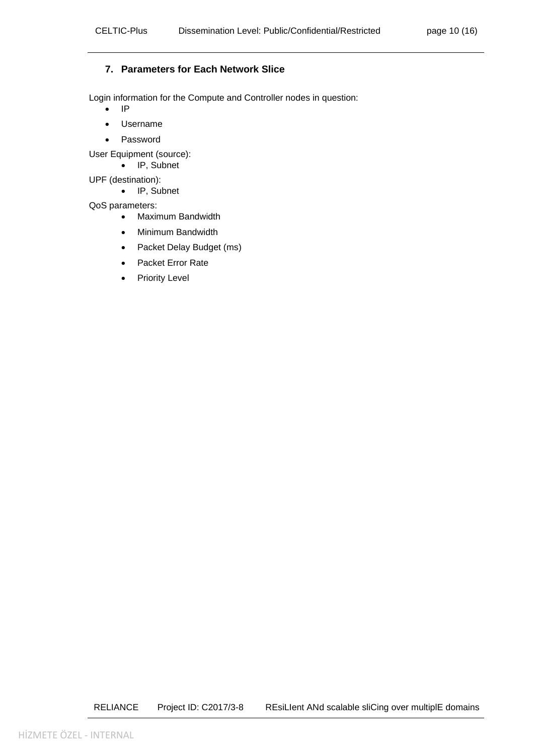### <span id="page-9-0"></span>**7. Parameters for Each Network Slice**

Login information for the Compute and Controller nodes in question:

- IP
- Username
- Password

User Equipment (source):

- IP, Subnet
- UPF (destination):
	- IP, Subnet

QoS parameters:

- Maximum Bandwidth
- Minimum Bandwidth
- Packet Delay Budget (ms)
- Packet Error Rate
- Priority Level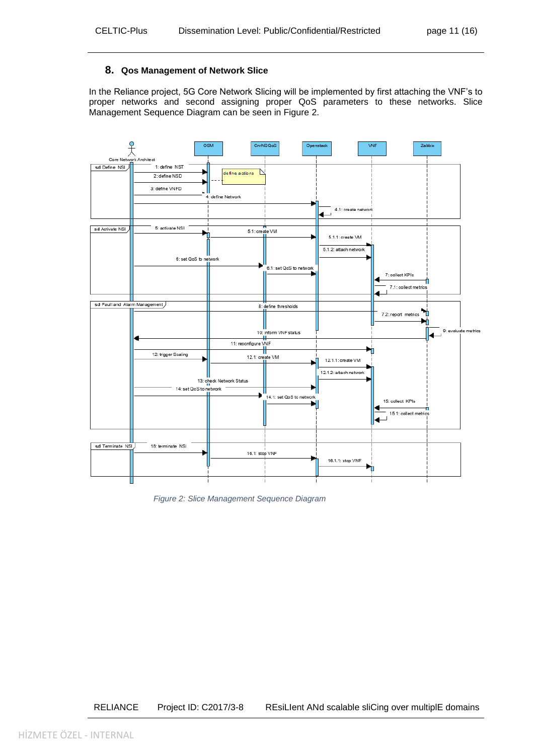#### <span id="page-10-0"></span>**8. Qos Management of Network Slice**

In the Reliance project, 5G Core Network Slicing will be implemented by first attaching the VNF's to proper networks and second assigning proper QoS parameters to these networks. Slice Management Sequence Diagram can be seen in Figure 2.



<span id="page-10-1"></span>*Figure 2: Slice Management Sequence Diagram*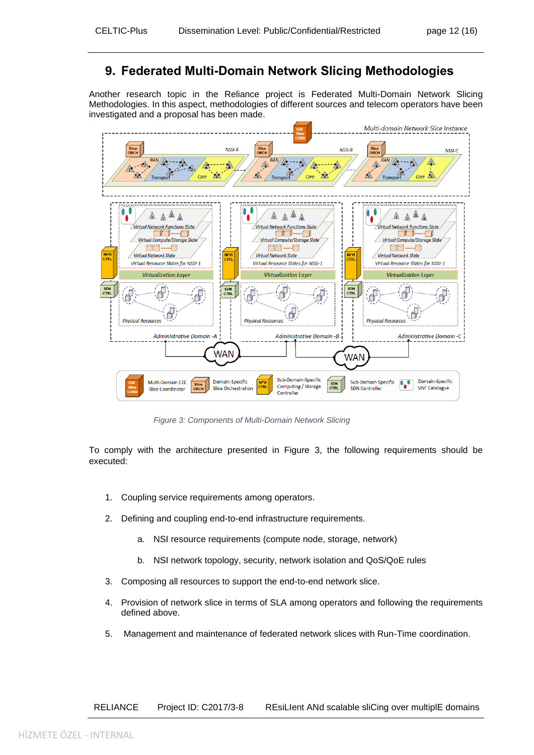### <span id="page-11-0"></span>**9. Federated Multi-Domain Network Slicing Methodologies**

Another research topic in the Reliance project is Federated Multi-Domain Network Slicing Methodologies. In this aspect, methodologies of different sources and telecom operators have been investigated and a proposal has been made.



*Figure 3: Components of Multi-Domain Network Slicing*

<span id="page-11-1"></span>To comply with the architecture presented in Figure 3, the following requirements should be executed:

- 1. Coupling service requirements among operators.
- 2. Defining and coupling end-to-end infrastructure requirements.
	- a. NSI resource requirements (compute node, storage, network)
	- b. NSI network topology, security, network isolation and QoS/QoE rules
- 3. Composing all resources to support the end-to-end network slice.
- 4. Provision of network slice in terms of SLA among operators and following the requirements defined above.
- 5. Management and maintenance of federated network slices with Run-Time coordination.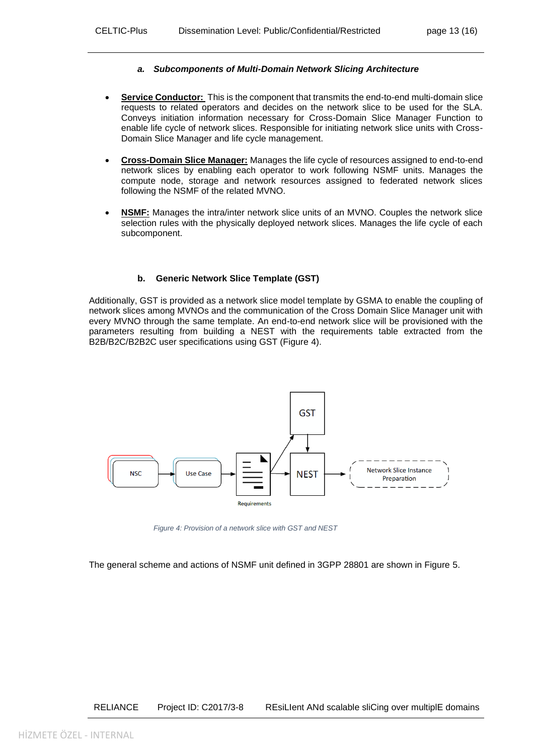#### *a. Subcomponents of Multi-Domain Network Slicing Architecture*

- <span id="page-12-0"></span>**Service Conductor:** This is the component that transmits the end-to-end multi-domain slice requests to related operators and decides on the network slice to be used for the SLA. Conveys initiation information necessary for Cross-Domain Slice Manager Function to enable life cycle of network slices. Responsible for initiating network slice units with Cross-Domain Slice Manager and life cycle management.
- **Cross-Domain Slice Manager:** Manages the life cycle of resources assigned to end-to-end network slices by enabling each operator to work following NSMF units. Manages the compute node, storage and network resources assigned to federated network slices following the NSMF of the related MVNO.
- **NSMF:** Manages the intra/inter network slice units of an MVNO. Couples the network slice selection rules with the physically deployed network slices. Manages the life cycle of each subcomponent.

#### <span id="page-12-1"></span>**b. Generic Network Slice Template (GST)**

Additionally, GST is provided as a network slice model template by GSMA to enable the coupling of network slices among MVNOs and the communication of the Cross Domain Slice Manager unit with every MVNO through the same template. An end-to-end network slice will be provisioned with the parameters resulting from building a NEST with the requirements table extracted from the B2B/B2C/B2B2C user specifications using GST (Figure 4).



*Figure 4: Provision of a network slice with GST and NEST*

<span id="page-12-2"></span>The general scheme and actions of NSMF unit defined in 3GPP 28801 are shown in Figure 5.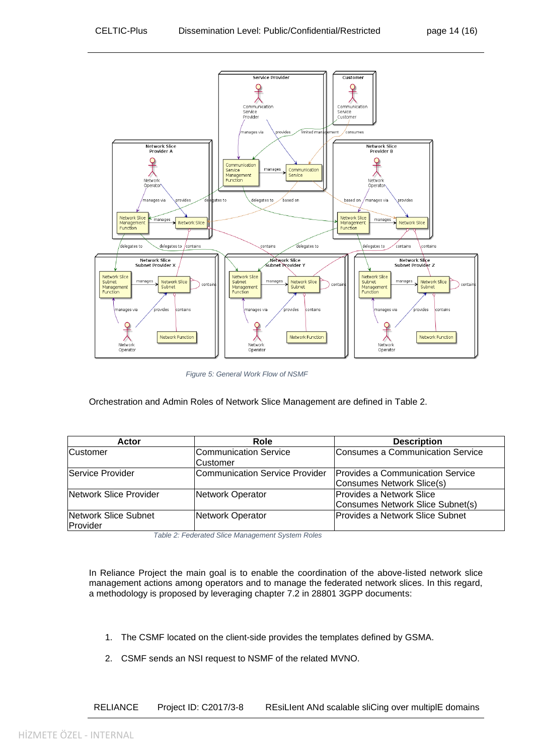

*Figure 5: General Work Flow of NSMF*

<span id="page-13-0"></span>Orchestration and Admin Roles of Network Slice Management are defined in Table 2.

| Actor                   | Role                           | <b>Description</b>                      |
|-------------------------|--------------------------------|-----------------------------------------|
| <b>Customer</b>         | Communication Service          | Consumes a Communication Service        |
|                         | <b>Customer</b>                |                                         |
| <b>Service Provider</b> | Communication Service Provider | <b>Provides a Communication Service</b> |
|                         |                                | Consumes Network Slice(s)               |
| Network Slice Provider  | Network Operator               | Provides a Network Slice                |
|                         |                                | Consumes Network Slice Subnet(s)        |
| Network Slice Subnet    | <b>Network Operator</b>        | Provides a Network Slice Subnet         |
| Provider                |                                |                                         |

*Table 2: Federated Slice Management System Roles*

In Reliance Project the main goal is to enable the coordination of the above-listed network slice management actions among operators and to manage the federated network slices. In this regard, a methodology is proposed by leveraging chapter 7.2 in 28801 3GPP documents:

- 1. The CSMF located on the client-side provides the templates defined by GSMA.
- 2. CSMF sends an NSI request to NSMF of the related MVNO.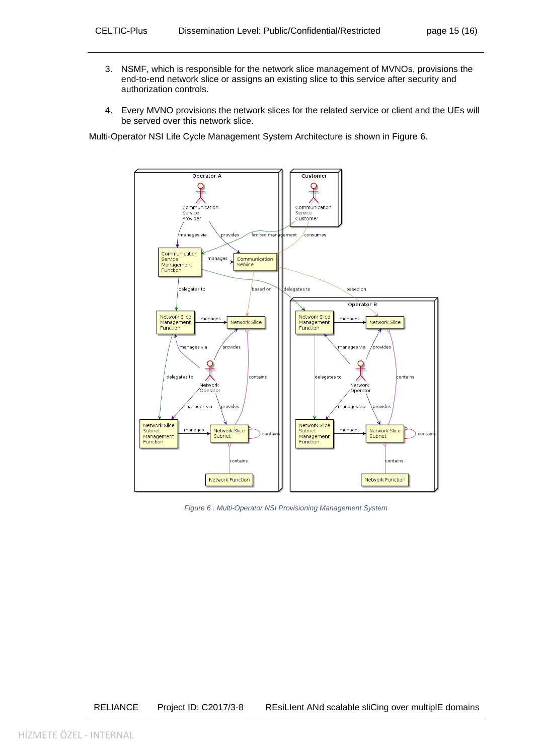- 3. NSMF, which is responsible for the network slice management of MVNOs, provisions the end-to-end network slice or assigns an existing slice to this service after security and authorization controls.
- 4. Every MVNO provisions the network slices for the related service or client and the UEs will be served over this network slice.

Multi-Operator NSI Life Cycle Management System Architecture is shown in Figure 6.



<span id="page-14-0"></span>*Figure 6 : Multi-Operator NSI Provisioning Management System*